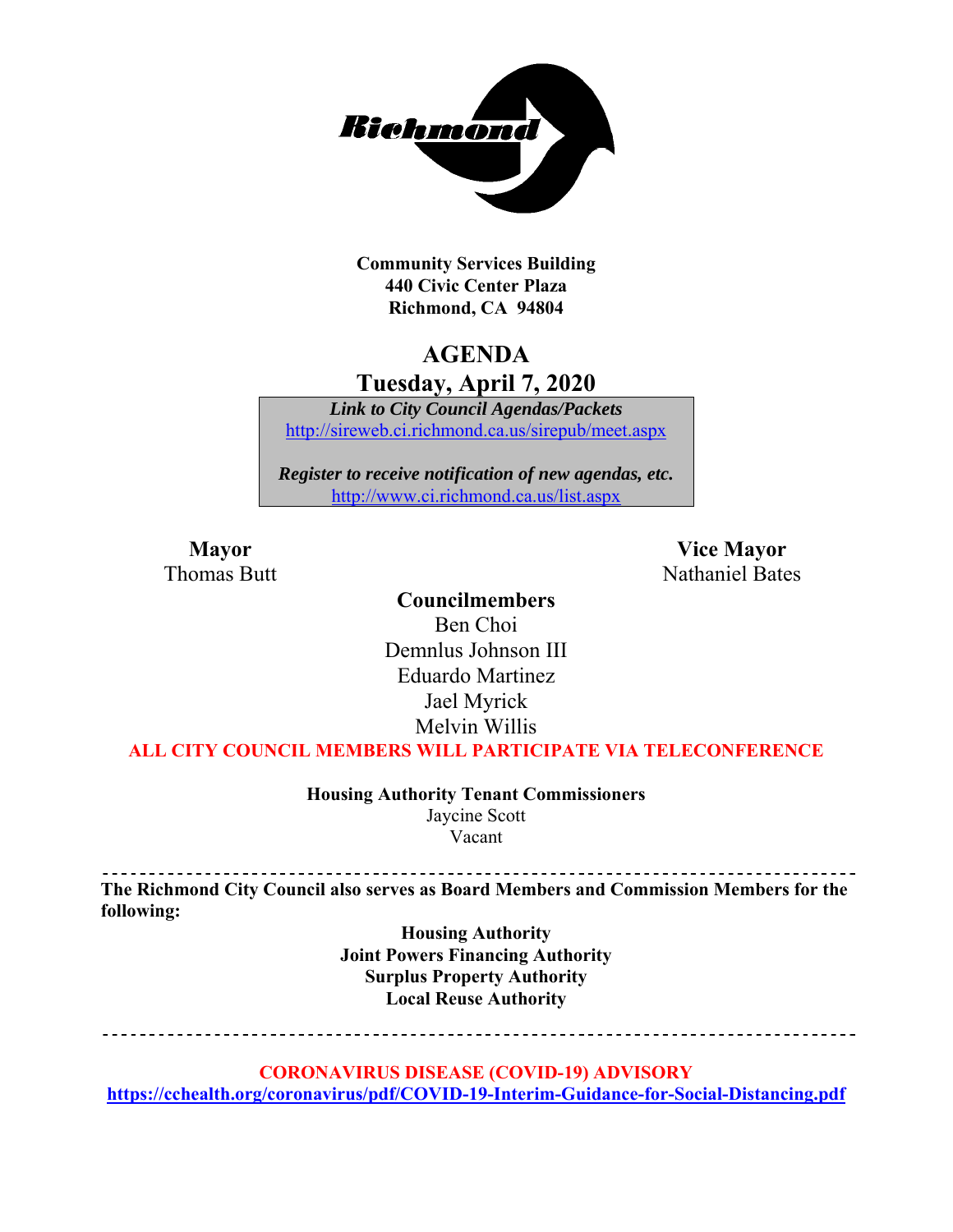

**Community Services Building 440 Civic Center Plaza Richmond, CA 94804** 

## **AGENDA**

**Tuesday, April 7, 2020** 

*Link to City Council Agendas/Packets*  http://sireweb.ci.richmond.ca.us/sirepub/meet.aspx

*Register to receive notification of new agendas, etc.*  http://www.ci.richmond.ca.us/list.aspx

**Mayor** Vice Mayor Thomas Butt **Nathaniel Bates** Nathaniel Bates

#### **Councilmembers**

Ben Choi Demnlus Johnson III Eduardo Martinez Jael Myrick Melvin Willis

**ALL CITY COUNCIL MEMBERS WILL PARTICIPATE VIA TELECONFERENCE** 

**Housing Authority Tenant Commissioners**  Jaycine Scott

Vacant

**The Richmond City Council also serves as Board Members and Commission Members for the following:** 

> **Housing Authority Joint Powers Financing Authority Surplus Property Authority Local Reuse Authority**

. . . . . . . . . . . . . . . . . \_\_\_\_\_\_\_\_\_\_\_\_\_\_\_\_\_\_\_\_\_\_\_\_\_\_\_\_\_\_\_\_\_\_\_

**CORONAVIRUS DISEASE (COVID-19) ADVISORY** 

**https://cchealth.org/coronavirus/pdf/COVID-19-Interim-Guidance-for-Social-Distancing.pdf**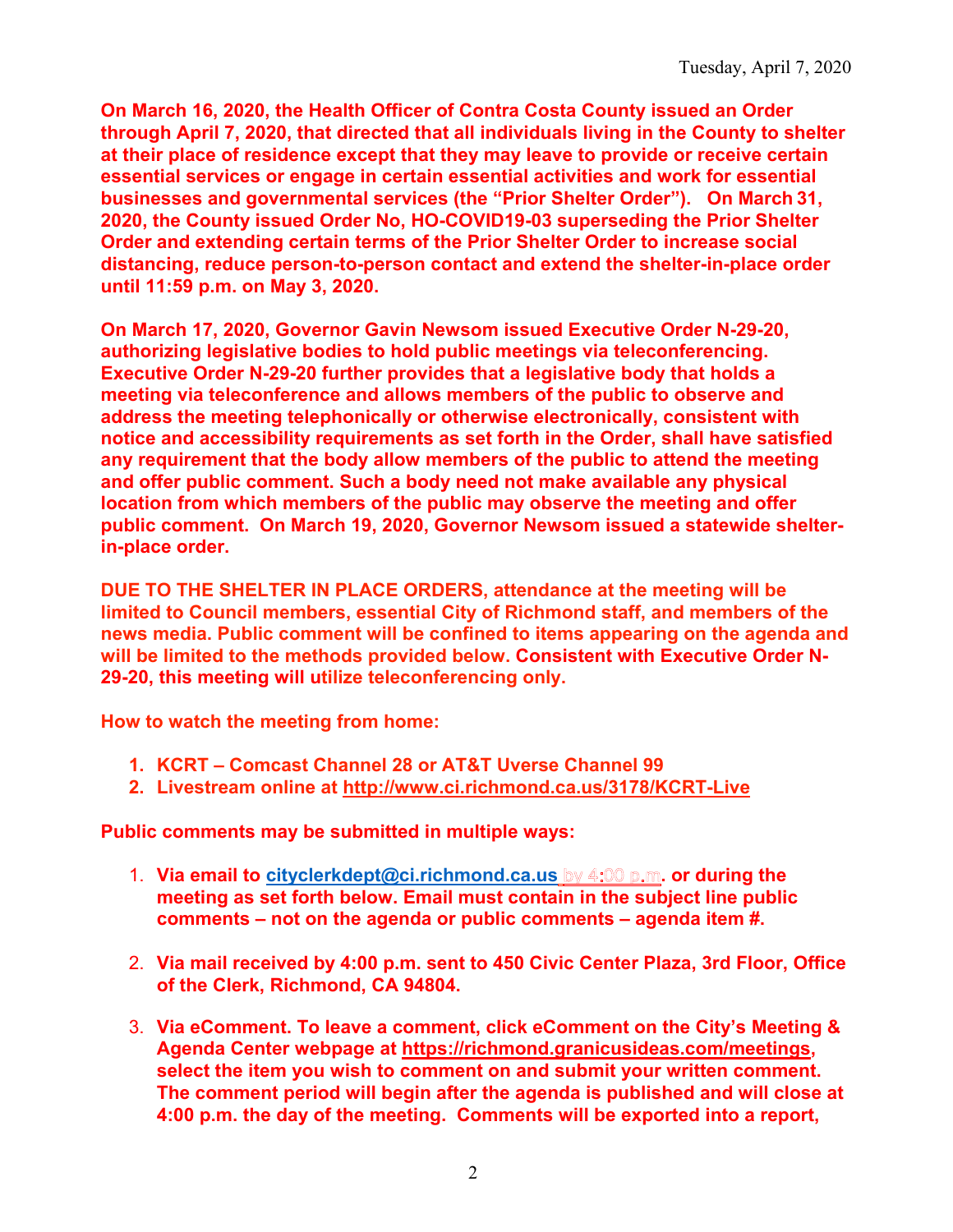**On March 16, 2020, the Health Officer of Contra Costa County issued an Order through April 7, 2020, that directed that all individuals living in the County to shelter at their place of residence except that they may leave to provide or receive certain essential services or engage in certain essential activities and work for essential businesses and governmental services (the "Prior Shelter Order"). On March 31, 2020, the County issued Order No, HO-COVID19-03 superseding the Prior Shelter Order and extending certain terms of the Prior Shelter Order to increase social distancing, reduce person-to-person contact and extend the shelter-in-place order until 11:59 p.m. on May 3, 2020.** 

**On March 17, 2020, Governor Gavin Newsom issued Executive Order N-29-20, authorizing legislative bodies to hold public meetings via teleconferencing. Executive Order N-29-20 further provides that a legislative body that holds a meeting via teleconference and allows members of the public to observe and address the meeting telephonically or otherwise electronically, consistent with notice and accessibility requirements as set forth in the Order, shall have satisfied any requirement that the body allow members of the public to attend the meeting and offer public comment. Such a body need not make available any physical location from which members of the public may observe the meeting and offer public comment. On March 19, 2020, Governor Newsom issued a statewide shelterin-place order.** 

**DUE TO THE SHELTER IN PLACE ORDERS, attendance at the meeting will be limited to Council members, essential City of Richmond staff, and members of the news media. Public comment will be confined to items appearing on the agenda and will be limited to the methods provided below. Consistent with Executive Order N-29-20, this meeting will utilize teleconferencing only.** 

**How to watch the meeting from home:** 

- **1. KCRT Comcast Channel 28 or AT&T Uverse Channel 99**
- **2. Livestream online at http://www.ci.richmond.ca.us/3178/KCRT-Live**

**Public comments may be submitted in multiple ways:** 

- 1. **Via email to cityclerkdept@ci.richmond.ca.us** by 4:00 p.m. or during the **meeting as set forth below. Email must contain in the subject line public comments – not on the agenda or public comments – agenda item #.**
- 2. **Via mail received by 4:00 p.m. sent to 450 Civic Center Plaza, 3rd Floor, Office of the Clerk, Richmond, CA 94804.**
- 3. **Via eComment. To leave a comment, click eComment on the City's Meeting & Agenda Center webpage at https://richmond.granicusideas.com/meetings, select the item you wish to comment on and submit your written comment. The comment period will begin after the agenda is published and will close at 4:00 p.m. the day of the meeting. Comments will be exported into a report,**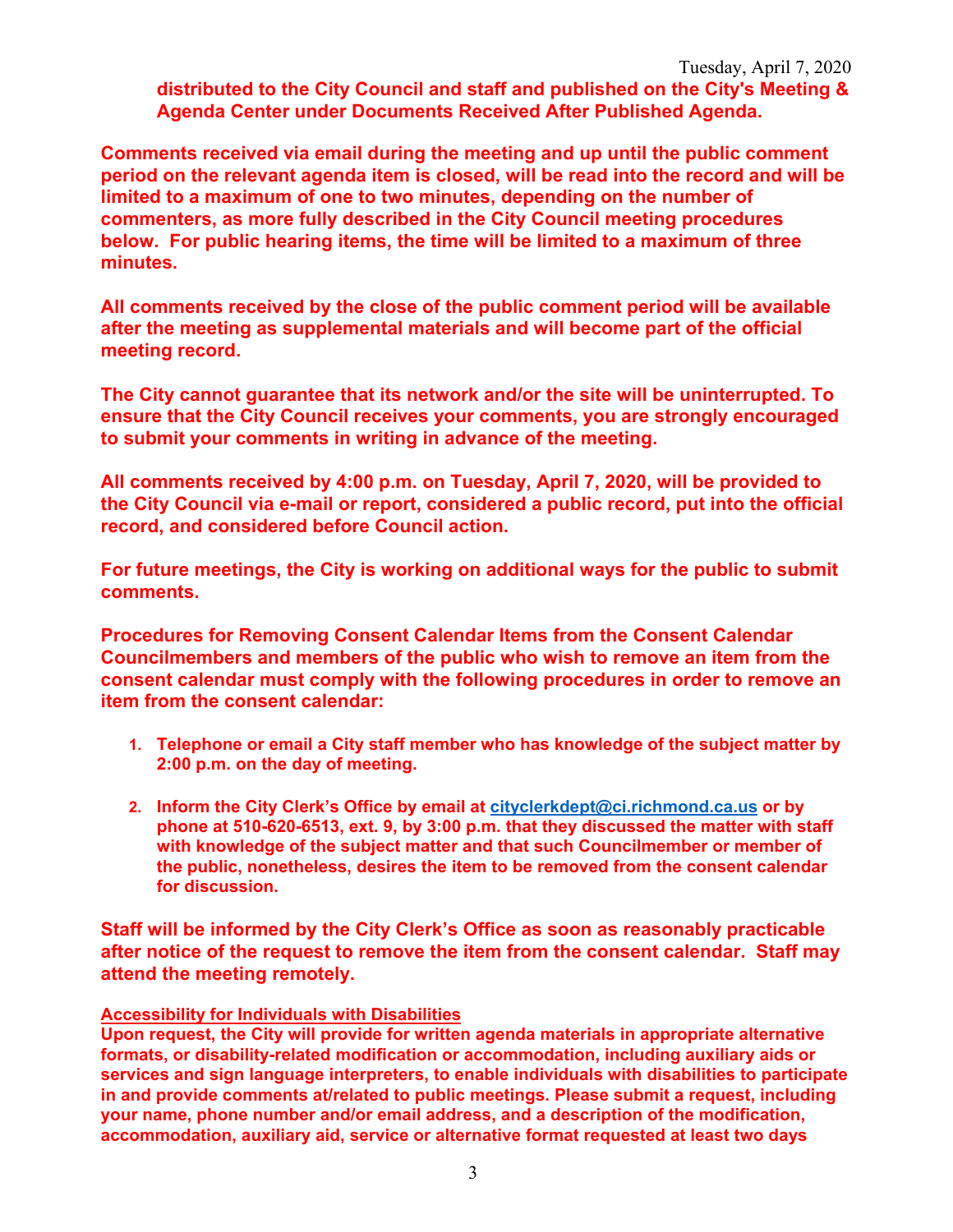**distributed to the City Council and staff and published on the City's Meeting & Agenda Center under Documents Received After Published Agenda.** 

**Comments received via email during the meeting and up until the public comment period on the relevant agenda item is closed, will be read into the record and will be limited to a maximum of one to two minutes, depending on the number of commenters, as more fully described in the City Council meeting procedures below. For public hearing items, the time will be limited to a maximum of three minutes.** 

**All comments received by the close of the public comment period will be available after the meeting as supplemental materials and will become part of the official meeting record.** 

**The City cannot guarantee that its network and/or the site will be uninterrupted. To ensure that the City Council receives your comments, you are strongly encouraged to submit your comments in writing in advance of the meeting.** 

**All comments received by 4:00 p.m. on Tuesday, April 7, 2020, will be provided to the City Council via e-mail or report, considered a public record, put into the official record, and considered before Council action.** 

**For future meetings, the City is working on additional ways for the public to submit comments.** 

**Procedures for Removing Consent Calendar Items from the Consent Calendar Councilmembers and members of the public who wish to remove an item from the consent calendar must comply with the following procedures in order to remove an item from the consent calendar:** 

- **1. Telephone or email a City staff member who has knowledge of the subject matter by 2:00 p.m. on the day of meeting.**
- **2. Inform the City Clerk's Office by email at cityclerkdept@ci.richmond.ca.us or by phone at 510-620-6513, ext. 9, by 3:00 p.m. that they discussed the matter with staff with knowledge of the subject matter and that such Councilmember or member of the public, nonetheless, desires the item to be removed from the consent calendar for discussion.**

**Staff will be informed by the City Clerk's Office as soon as reasonably practicable after notice of the request to remove the item from the consent calendar. Staff may attend the meeting remotely.** 

#### **Accessibility for Individuals with Disabilities**

**Upon request, the City will provide for written agenda materials in appropriate alternative formats, or disability-related modification or accommodation, including auxiliary aids or services and sign language interpreters, to enable individuals with disabilities to participate in and provide comments at/related to public meetings. Please submit a request, including your name, phone number and/or email address, and a description of the modification, accommodation, auxiliary aid, service or alternative format requested at least two days**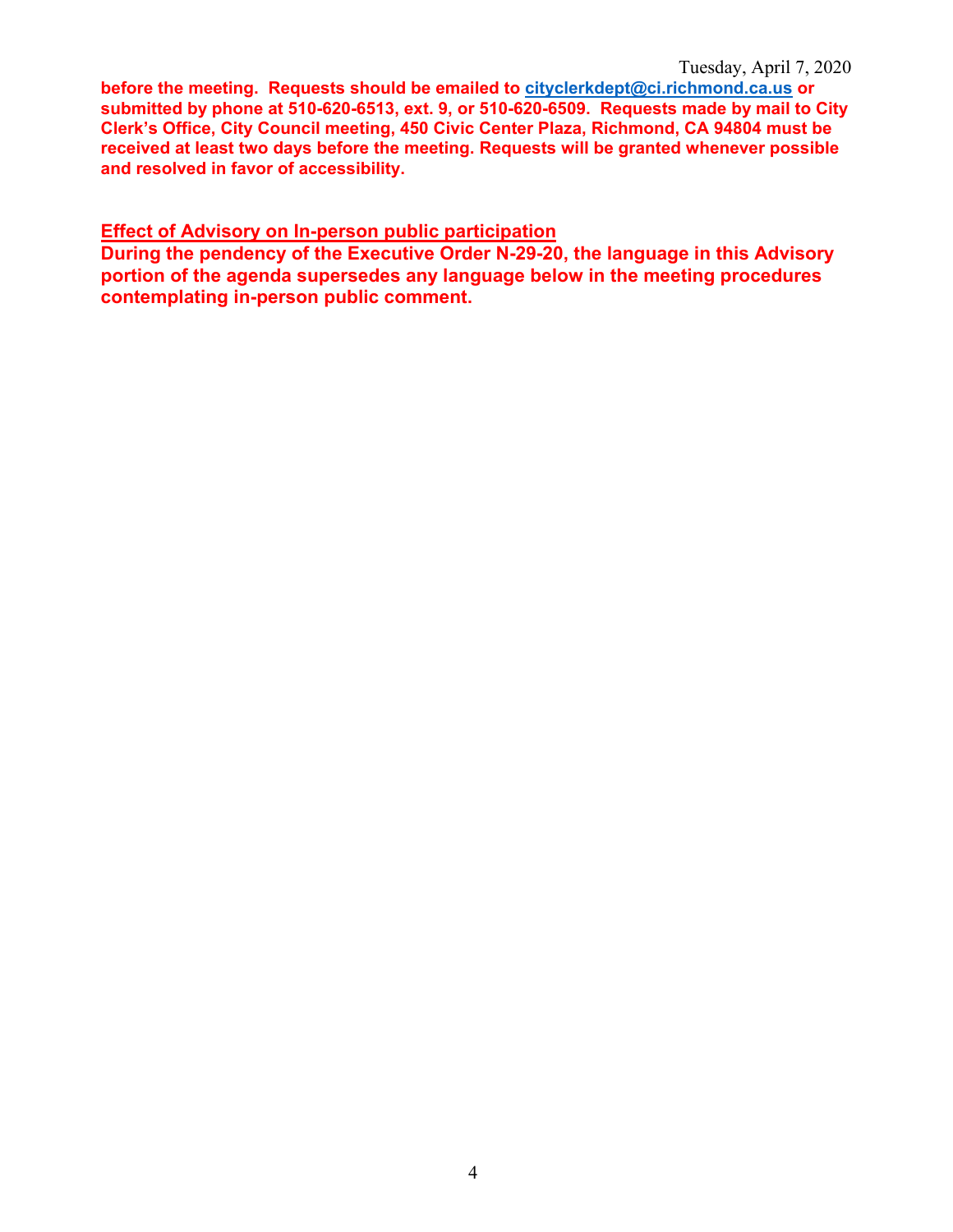**before the meeting. Requests should be emailed to cityclerkdept@ci.richmond.ca.us or submitted by phone at 510-620-6513, ext. 9, or 510-620-6509. Requests made by mail to City Clerk's Office, City Council meeting, 450 Civic Center Plaza, Richmond, CA 94804 must be received at least two days before the meeting. Requests will be granted whenever possible and resolved in favor of accessibility.** 

#### **Effect of Advisory on In-person public participation**

**During the pendency of the Executive Order N-29-20, the language in this Advisory portion of the agenda supersedes any language below in the meeting procedures contemplating in-person public comment.**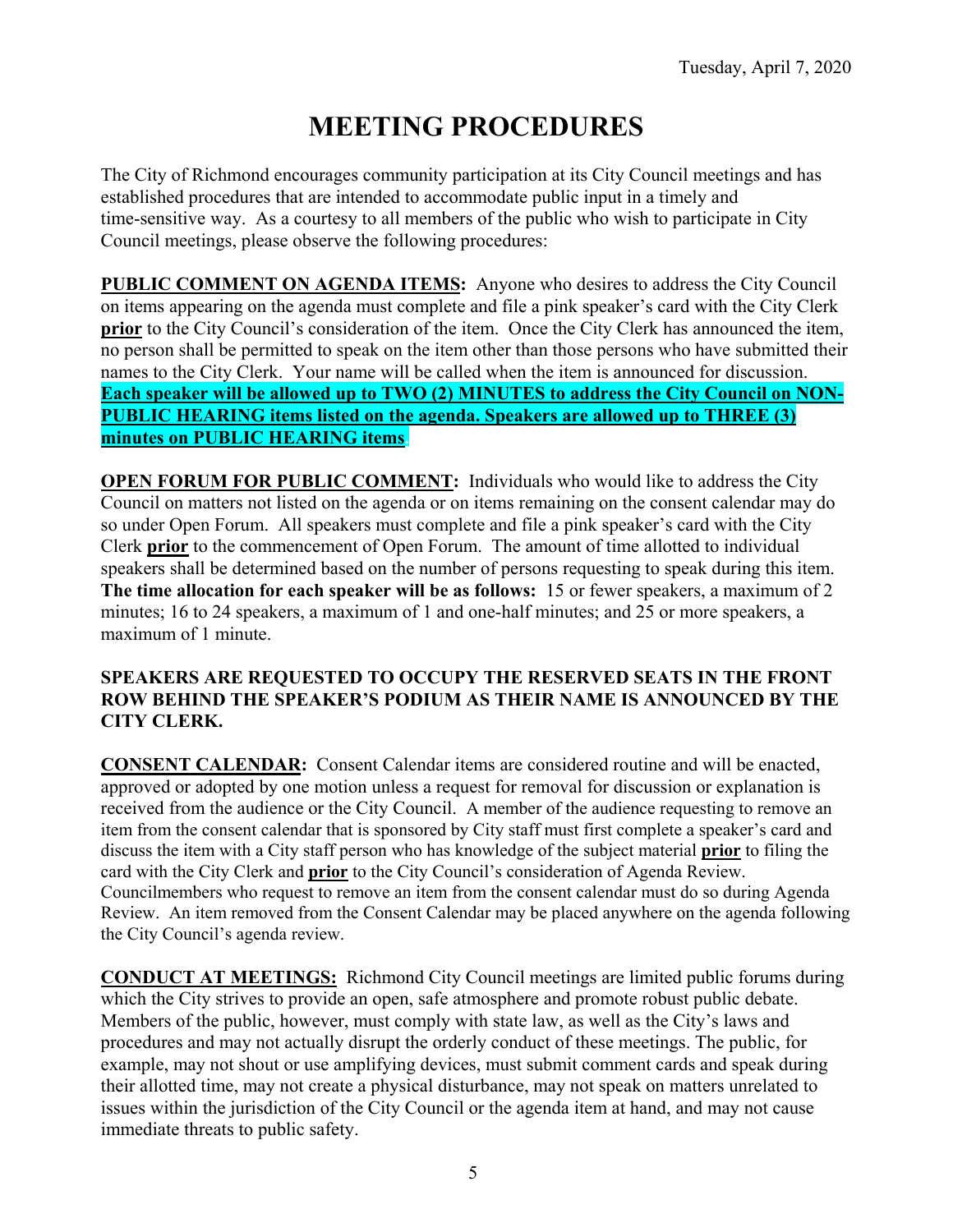# **MEETING PROCEDURES**

The City of Richmond encourages community participation at its City Council meetings and has established procedures that are intended to accommodate public input in a timely and time-sensitive way. As a courtesy to all members of the public who wish to participate in City Council meetings, please observe the following procedures:

**PUBLIC COMMENT ON AGENDA ITEMS:** Anyone who desires to address the City Council on items appearing on the agenda must complete and file a pink speaker's card with the City Clerk **prior** to the City Council's consideration of the item. Once the City Clerk has announced the item, no person shall be permitted to speak on the item other than those persons who have submitted their names to the City Clerk. Your name will be called when the item is announced for discussion. **Each speaker will be allowed up to TWO (2) MINUTES to address the City Council on NON-PUBLIC HEARING items listed on the agenda. Speakers are allowed up to THREE (3) minutes on PUBLIC HEARING items.** 

**OPEN FORUM FOR PUBLIC COMMENT:** Individuals who would like to address the City Council on matters not listed on the agenda or on items remaining on the consent calendar may do so under Open Forum. All speakers must complete and file a pink speaker's card with the City Clerk **prior** to the commencement of Open Forum. The amount of time allotted to individual speakers shall be determined based on the number of persons requesting to speak during this item. **The time allocation for each speaker will be as follows:** 15 or fewer speakers, a maximum of 2 minutes; 16 to 24 speakers, a maximum of 1 and one-half minutes; and 25 or more speakers, a maximum of 1 minute.

#### **SPEAKERS ARE REQUESTED TO OCCUPY THE RESERVED SEATS IN THE FRONT ROW BEHIND THE SPEAKER'S PODIUM AS THEIR NAME IS ANNOUNCED BY THE CITY CLERK.**

**CONSENT CALENDAR:** Consent Calendar items are considered routine and will be enacted, approved or adopted by one motion unless a request for removal for discussion or explanation is received from the audience or the City Council. A member of the audience requesting to remove an item from the consent calendar that is sponsored by City staff must first complete a speaker's card and discuss the item with a City staff person who has knowledge of the subject material **prior** to filing the card with the City Clerk and **prior** to the City Council's consideration of Agenda Review. Councilmembers who request to remove an item from the consent calendar must do so during Agenda Review. An item removed from the Consent Calendar may be placed anywhere on the agenda following the City Council's agenda review.

**CONDUCT AT MEETINGS:** Richmond City Council meetings are limited public forums during which the City strives to provide an open, safe atmosphere and promote robust public debate. Members of the public, however, must comply with state law, as well as the City's laws and procedures and may not actually disrupt the orderly conduct of these meetings. The public, for example, may not shout or use amplifying devices, must submit comment cards and speak during their allotted time, may not create a physical disturbance, may not speak on matters unrelated to issues within the jurisdiction of the City Council or the agenda item at hand, and may not cause immediate threats to public safety.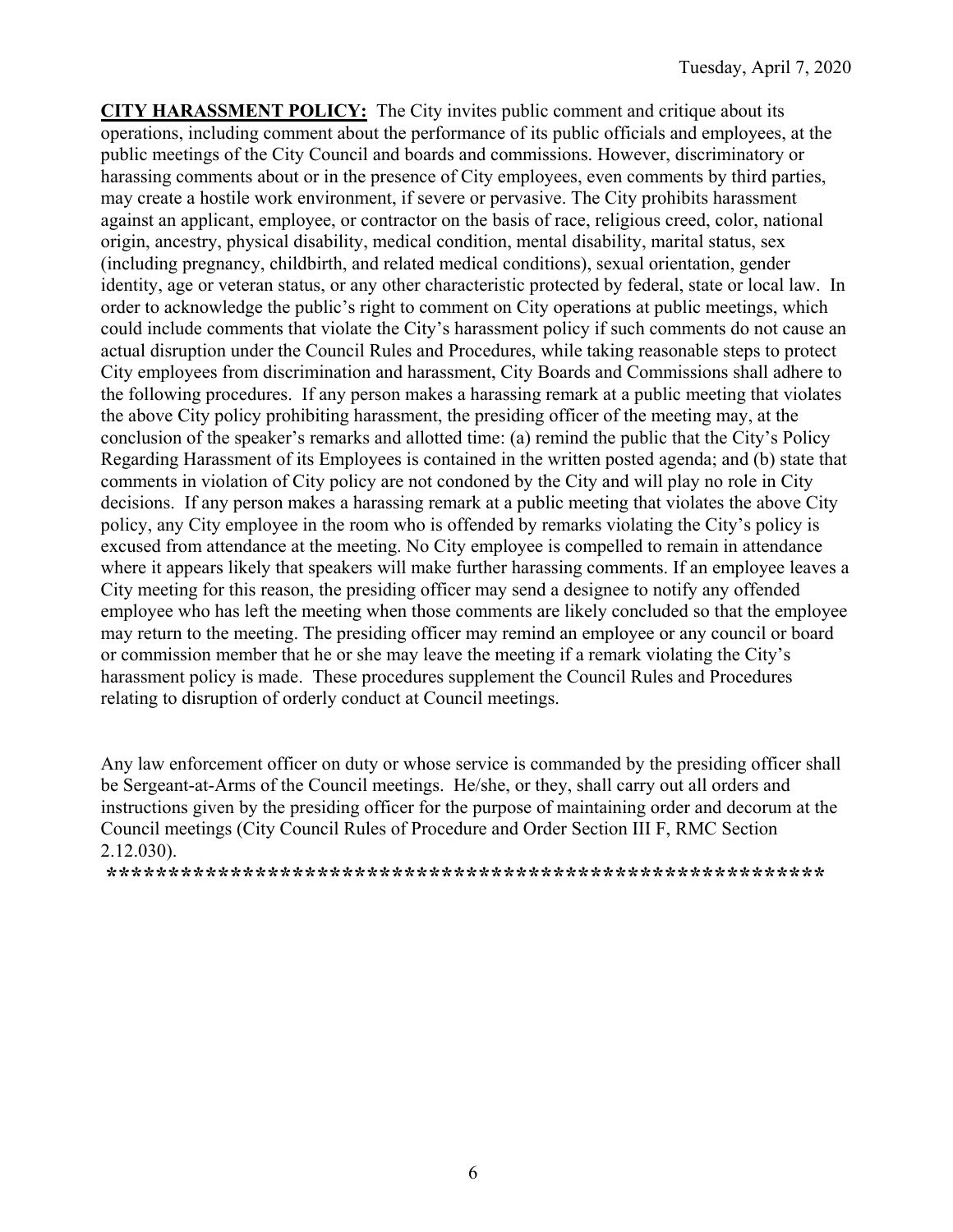**CITY HARASSMENT POLICY:** The City invites public comment and critique about its operations, including comment about the performance of its public officials and employees, at the public meetings of the City Council and boards and commissions. However, discriminatory or harassing comments about or in the presence of City employees, even comments by third parties, may create a hostile work environment, if severe or pervasive. The City prohibits harassment against an applicant, employee, or contractor on the basis of race, religious creed, color, national origin, ancestry, physical disability, medical condition, mental disability, marital status, sex (including pregnancy, childbirth, and related medical conditions), sexual orientation, gender identity, age or veteran status, or any other characteristic protected by federal, state or local law. In order to acknowledge the public's right to comment on City operations at public meetings, which could include comments that violate the City's harassment policy if such comments do not cause an actual disruption under the Council Rules and Procedures, while taking reasonable steps to protect City employees from discrimination and harassment, City Boards and Commissions shall adhere to the following procedures. If any person makes a harassing remark at a public meeting that violates the above City policy prohibiting harassment, the presiding officer of the meeting may, at the conclusion of the speaker's remarks and allotted time: (a) remind the public that the City's Policy Regarding Harassment of its Employees is contained in the written posted agenda; and (b) state that comments in violation of City policy are not condoned by the City and will play no role in City decisions. If any person makes a harassing remark at a public meeting that violates the above City policy, any City employee in the room who is offended by remarks violating the City's policy is excused from attendance at the meeting. No City employee is compelled to remain in attendance where it appears likely that speakers will make further harassing comments. If an employee leaves a City meeting for this reason, the presiding officer may send a designee to notify any offended employee who has left the meeting when those comments are likely concluded so that the employee may return to the meeting. The presiding officer may remind an employee or any council or board or commission member that he or she may leave the meeting if a remark violating the City's harassment policy is made. These procedures supplement the Council Rules and Procedures relating to disruption of orderly conduct at Council meetings.

Any law enforcement officer on duty or whose service is commanded by the presiding officer shall be Sergeant-at-Arms of the Council meetings. He/she, or they, shall carry out all orders and instructions given by the presiding officer for the purpose of maintaining order and decorum at the Council meetings (City Council Rules of Procedure and Order Section III F, RMC Section 2.12.030).

**\*\*\*\*\*\*\*\*\*\*\*\*\*\*\*\*\*\*\*\*\*\*\*\*\*\*\*\*\*\*\*\*\*\*\*\*\*\*\*\*\*\*\*\*\*\*\*\*\*\*\*\*\*\*\*\*\*\***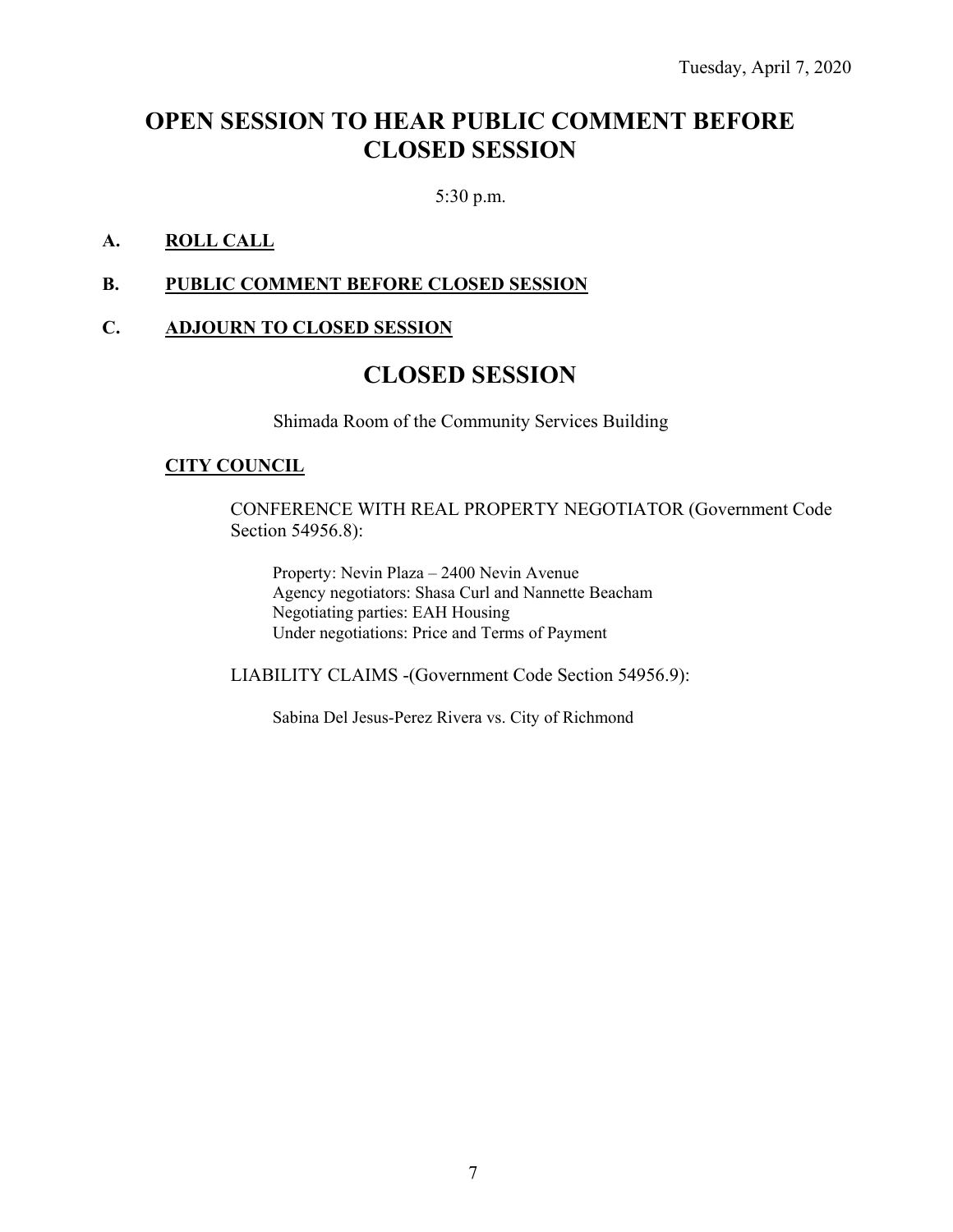### **OPEN SESSION TO HEAR PUBLIC COMMENT BEFORE CLOSED SESSION**

5:30 p.m.

#### **A. ROLL CALL**

#### **B. PUBLIC COMMENT BEFORE CLOSED SESSION**

#### **C. ADJOURN TO CLOSED SESSION**

### **CLOSED SESSION**

Shimada Room of the Community Services Building

#### **CITY COUNCIL**

CONFERENCE WITH REAL PROPERTY NEGOTIATOR (Government Code Section 54956.8):

Property: Nevin Plaza – 2400 Nevin Avenue Agency negotiators: Shasa Curl and Nannette Beacham Negotiating parties: EAH Housing Under negotiations: Price and Terms of Payment

LIABILITY CLAIMS -(Government Code Section 54956.9):

Sabina Del Jesus-Perez Rivera vs. City of Richmond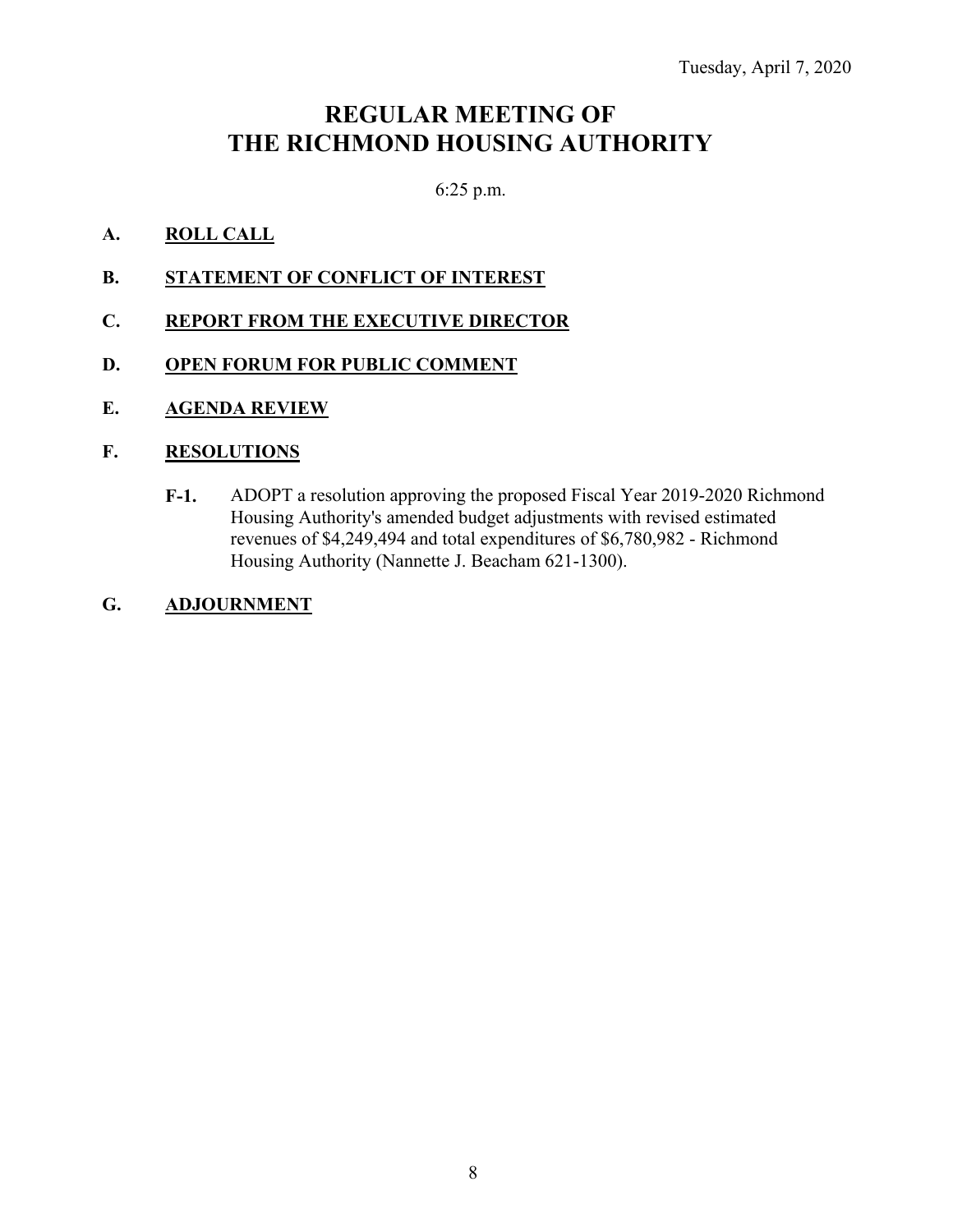### **REGULAR MEETING OF THE RICHMOND HOUSING AUTHORITY**

6:25 p.m.

#### **A. ROLL CALL**

- **B.** STATEMENT OF CONFLICT OF INTEREST
- **C. REPORT FROM THE EXECUTIVE DIRECTOR**
- **D. OPEN FORUM FOR PUBLIC COMMENT**
- **E. AGENDA REVIEW**

#### **F. RESOLUTIONS**

- **F-1.** ADOPT a resolution approving the proposed Fiscal Year 2019-2020 Richmond Housing Authority's amended budget adjustments with revised estimated revenues of \$4,249,494 and total expenditures of \$6,780,982 - Richmond Housing Authority (Nannette J. Beacham 621-1300).
- **G. ADJOURNMENT**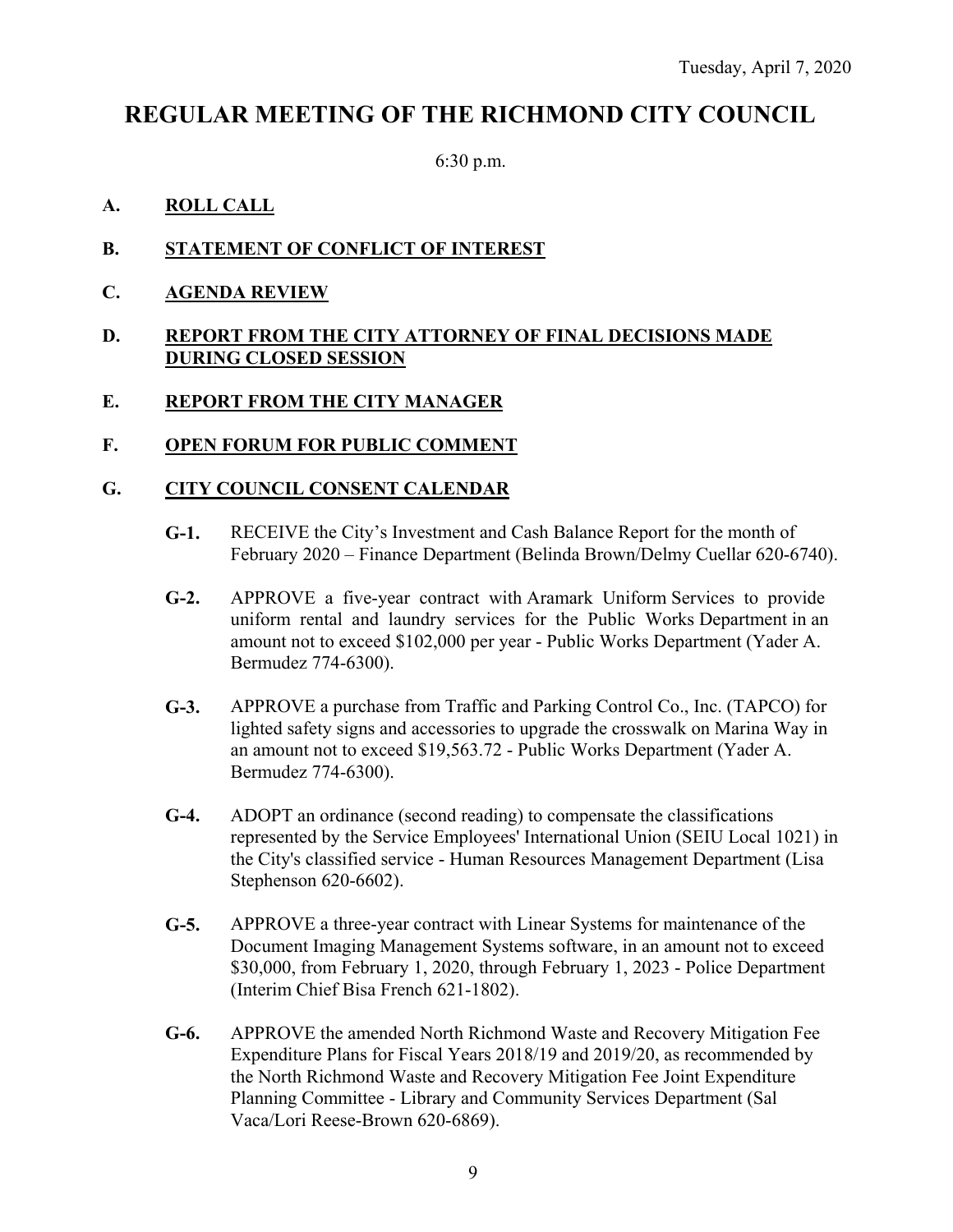### **REGULAR MEETING OF THE RICHMOND CITY COUNCIL**

6:30 p.m.

#### **A. ROLL CALL**

- **B. STATEMENT OF CONFLICT OF INTEREST**
- **C. AGENDA REVIEW**

#### **D. REPORT FROM THE CITY ATTORNEY OF FINAL DECISIONS MADE DURING CLOSED SESSION**

#### **E. REPORT FROM THE CITY MANAGER**

**F. OPEN FORUM FOR PUBLIC COMMENT** 

#### **G. CITY COUNCIL CONSENT CALENDAR**

- **G-1.** RECEIVE the City's Investment and Cash Balance Report for the month of February 2020 – Finance Department (Belinda Brown/Delmy Cuellar 620-6740).
- **G-2.** APPROVE a five-year contract with Aramark Uniform Services to provide uniform rental and laundry services for the Public Works Department in an amount not to exceed \$102,000 per year - Public Works Department (Yader A. Bermudez 774-6300).
- **G-3.** APPROVE a purchase from Traffic and Parking Control Co., Inc. (TAPCO) for lighted safety signs and accessories to upgrade the crosswalk on Marina Way in an amount not to exceed \$19,563.72 - Public Works Department (Yader A. Bermudez 774-6300).
- **G-4.** ADOPT an ordinance (second reading) to compensate the classifications represented by the Service Employees' International Union (SEIU Local 1021) in the City's classified service - Human Resources Management Department (Lisa Stephenson 620-6602).
- **G-5.** APPROVE a three-year contract with Linear Systems for maintenance of the Document Imaging Management Systems software, in an amount not to exceed \$30,000, from February 1, 2020, through February 1, 2023 - Police Department (Interim Chief Bisa French 621-1802).
- **G-6.** APPROVE the amended North Richmond Waste and Recovery Mitigation Fee Expenditure Plans for Fiscal Years 2018/19 and 2019/20, as recommended by the North Richmond Waste and Recovery Mitigation Fee Joint Expenditure Planning Committee - Library and Community Services Department (Sal Vaca/Lori Reese-Brown 620-6869).